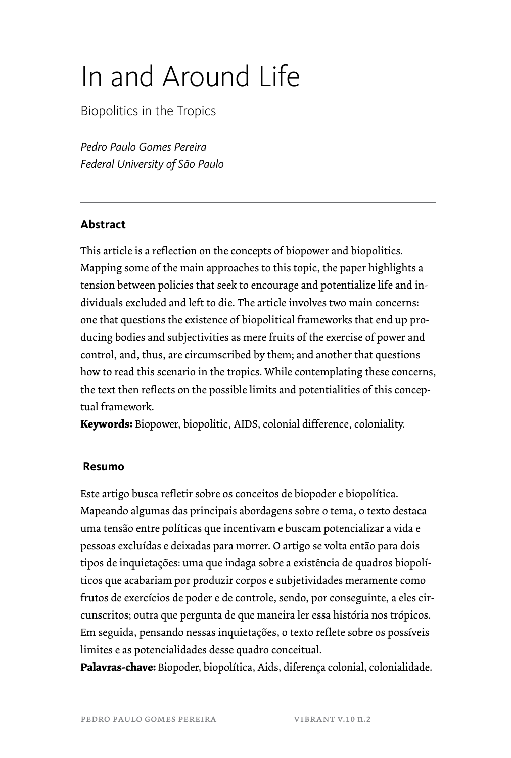# In and Around Life

Biopolitics in the Tropics

*Pedro Paulo Gomes Pereira Federal University of São Paulo*

# **Abstract**

This article is a reflection on the concepts of biopower and biopolitics. Mapping some of the main approaches to this topic, the paper highlights a tension between policies that seek to encourage and potentialize life and individuals excluded and left to die. The article involves two main concerns: one that questions the existence of biopolitical frameworks that end up producing bodies and subjectivities as mere fruits of the exercise of power and control, and, thus, are circumscribed by them; and another that questions how to read this scenario in the tropics. While contemplating these concerns, the text then reflects on the possible limits and potentialities of this conceptual framework.

**Keywords:** Biopower, biopolitic, AIDS, colonial difference, coloniality.

# **Resumo**

Este artigo busca refletir sobre os conceitos de biopoder e biopolítica. Mapeando algumas das principais abordagens sobre o tema, o texto destaca uma tensão entre políticas que incentivam e buscam potencializar a vida e pessoas excluídas e deixadas para morrer. O artigo se volta então para dois tipos de inquietações: uma que indaga sobre a existência de quadros biopolíticos que acabariam por produzir corpos e subjetividades meramente como frutos de exercícios de poder e de controle, sendo, por conseguinte, a eles circunscritos; outra que pergunta de que maneira ler essa história nos trópicos. Em seguida, pensando nessas inquietações, o texto reflete sobre os possíveis limites e as potencialidades desse quadro conceitual.

**Palavras-chave:** Biopoder, biopolítica, Aids, diferença colonial, colonialidade.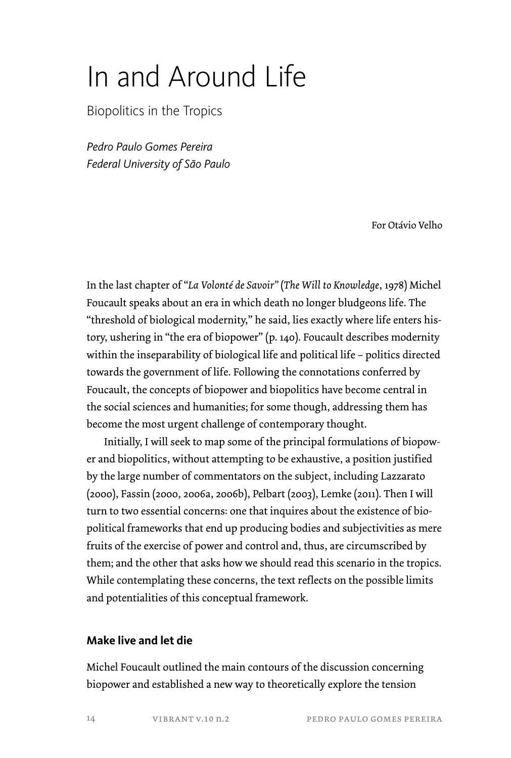# In and Around Life

Biopolitics in the Tropics

*Pedro Paulo Gomes Pereira Federal University of São Paulo*

For Otávio Velho

In the last chapter of "*La Volonté de Savoir"* (*The Will to Knowledge*, 1978) Michel Foucault speaks about an era in which death no longer bludgeons life. The "threshold of biological modernity," he said, lies exactly where life enters history, ushering in "the era of biopower" (p. 140). Foucault describes modernity within the inseparability of biological life and political life – politics directed towards the government of life. Following the connotations conferred by Foucault, the concepts of biopower and biopolitics have become central in the social sciences and humanities; for some though, addressing them has become the most urgent challenge of contemporary thought.

Initially, I will seek to map some of the principal formulations of biopower and biopolitics, without attempting to be exhaustive, a position justified by the large number of commentators on the subject, including Lazzarato (2000), Fassin (2000, 2006a, 2006b), Pelbart (2003), Lemke (2011). Then I will turn to two essential concerns: one that inquires about the existence of biopolitical frameworks that end up producing bodies and subjectivities as mere fruits of the exercise of power and control and, thus, are circumscribed by them; and the other that asks how we should read this scenario in the tropics. While contemplating these concerns, the text reflects on the possible limits and potentialities of this conceptual framework.

#### **Make live and let die**

Michel Foucault outlined the main contours of the discussion concerning biopower and established a new way to theoretically explore the tension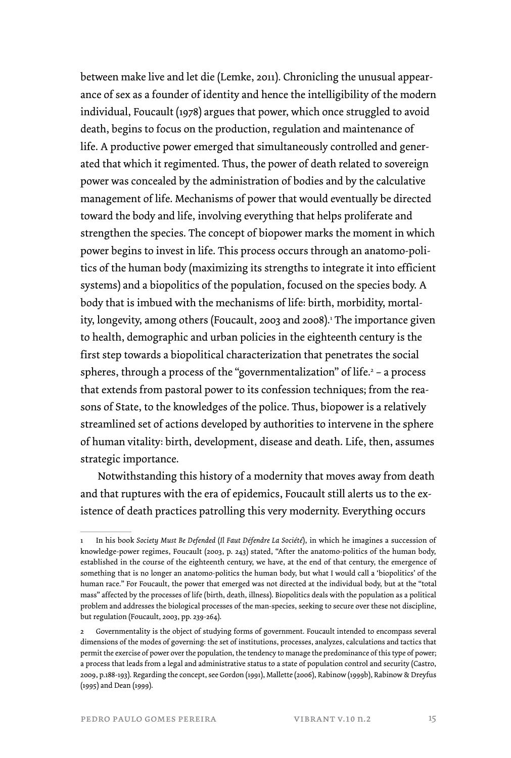between make live and let die (Lemke, 2011). Chronicling the unusual appearance of sex as a founder of identity and hence the intelligibility of the modern individual, Foucault (1978) argues that power, which once struggled to avoid death, begins to focus on the production, regulation and maintenance of life. A productive power emerged that simultaneously controlled and generated that which it regimented. Thus, the power of death related to sovereign power was concealed by the administration of bodies and by the calculative management of life. Mechanisms of power that would eventually be directed toward the body and life, involving everything that helps proliferate and strengthen the species. The concept of biopower marks the moment in which power begins to invest in life. This process occurs through an anatomo-politics of the human body (maximizing its strengths to integrate it into efficient systems) and a biopolitics of the population, focused on the species body. A body that is imbued with the mechanisms of life: birth, morbidity, mortality, longevity, among others (Foucault, 2003 and 2008).<sup>1</sup> The importance given to health, demographic and urban policies in the eighteenth century is the first step towards a biopolitical characterization that penetrates the social spheres, through a process of the "governmentalization" of life.<sup>2</sup> – a process that extends from pastoral power to its confession techniques; from the reasons of State, to the knowledges of the police. Thus, biopower is a relatively streamlined set of actions developed by authorities to intervene in the sphere of human vitality: birth, development, disease and death. Life, then, assumes strategic importance.

Notwithstanding this history of a modernity that moves away from death and that ruptures with the era of epidemics, Foucault still alerts us to the existence of death practices patrolling this very modernity. Everything occurs

<sup>1</sup> In his book *Society Must Be Defended* (*Il Faut Défendre La Société*), in which he imagines a succession of knowledge-power regimes, Foucault (2003, p. 243) stated, "After the anatomo-politics of the human body, established in the course of the eighteenth century, we have, at the end of that century, the emergence of something that is no longer an anatomo-politics the human body, but what I would call a 'biopolitics' of the human race." For Foucault, the power that emerged was not directed at the individual body, but at the "total mass" affected by the processes of life (birth, death, illness). Biopolitics deals with the population as a political problem and addresses the biological processes of the man-species, seeking to secure over these not discipline, but regulation (Foucault, 2003, pp. 239-264).

<sup>2</sup> Governmentality is the object of studying forms of government. Foucault intended to encompass several dimensions of the modes of governing: the set of institutions, processes, analyzes, calculations and tactics that permit the exercise of power over the population, the tendency to manage the predominance of this type of power; a process that leads from a legal and administrative status to a state of population control and security (Castro, 2009, p.188-193). Regarding the concept, see Gordon (1991), Mallette (2006), Rabinow (1999b), Rabinow & Dreyfus (1995) and Dean (1999).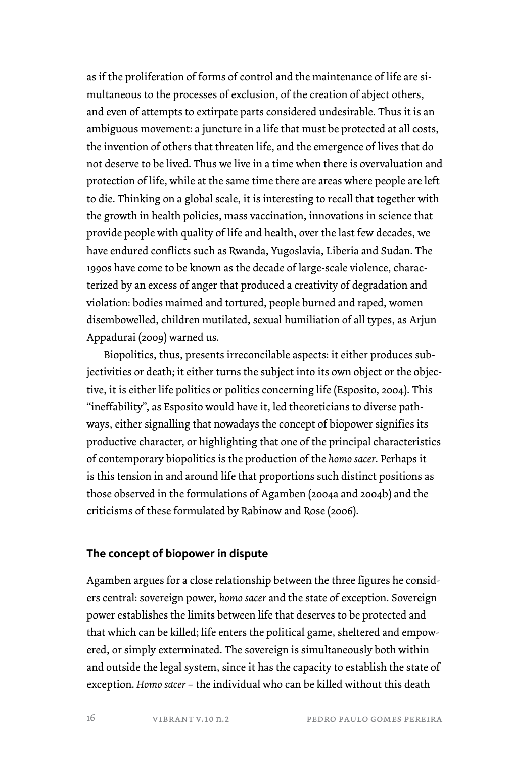as if the proliferation of forms of control and the maintenance of life are simultaneous to the processes of exclusion, of the creation of abject others, and even of attempts to extirpate parts considered undesirable. Thus it is an ambiguous movement: a juncture in a life that must be protected at all costs, the invention of others that threaten life, and the emergence of lives that do not deserve to be lived. Thus we live in a time when there is overvaluation and protection of life, while at the same time there are areas where people are left to die. Thinking on a global scale, it is interesting to recall that together with the growth in health policies, mass vaccination, innovations in science that provide people with quality of life and health, over the last few decades, we have endured conflicts such as Rwanda, Yugoslavia, Liberia and Sudan. The 1990s have come to be known as the decade of large-scale violence, characterized by an excess of anger that produced a creativity of degradation and violation: bodies maimed and tortured, people burned and raped, women disembowelled, children mutilated, sexual humiliation of all types, as Arjun Appadurai (2009) warned us.

Biopolitics, thus, presents irreconcilable aspects: it either produces subjectivities or death; it either turns the subject into its own object or the objective, it is either life politics or politics concerning life (Esposito, 2004). This "ineffability", as Esposito would have it, led theoreticians to diverse pathways, either signalling that nowadays the concept of biopower signifies its productive character, or highlighting that one of the principal characteristics of contemporary biopolitics is the production of the *homo sacer*. Perhaps it is this tension in and around life that proportions such distinct positions as those observed in the formulations of Agamben (2004a and 2004b) and the criticisms of these formulated by Rabinow and Rose (2006).

#### **The concept of biopower in dispute**

Agamben argues for a close relationship between the three figures he considers central: sovereign power, *homo sacer* and the state of exception. Sovereign power establishes the limits between life that deserves to be protected and that which can be killed; life enters the political game, sheltered and empowered, or simply exterminated. The sovereign is simultaneously both within and outside the legal system, since it has the capacity to establish the state of exception. *Homo sacer* – the individual who can be killed without this death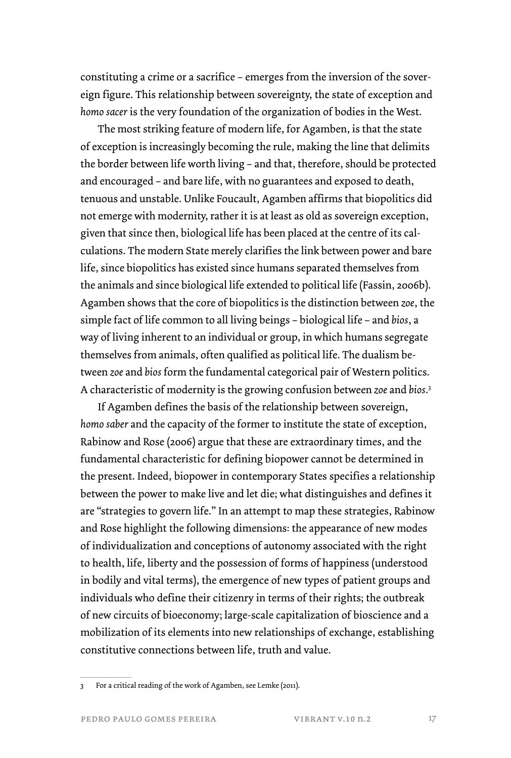constituting a crime or a sacrifice – emerges from the inversion of the sovereign figure. This relationship between sovereignty, the state of exception and *homo sacer* is the very foundation of the organization of bodies in the West.

The most striking feature of modern life, for Agamben, is that the state of exception is increasingly becoming the rule, making the line that delimits the border between life worth living – and that, therefore, should be protected and encouraged – and bare life, with no guarantees and exposed to death, tenuous and unstable. Unlike Foucault, Agamben affirms that biopolitics did not emerge with modernity, rather it is at least as old as sovereign exception, given that since then, biological life has been placed at the centre of its calculations. The modern State merely clarifies the link between power and bare life, since biopolitics has existed since humans separated themselves from the animals and since biological life extended to political life (Fassin, 2006b). Agamben shows that the core of biopolitics is the distinction between *zoe*, the simple fact of life common to all living beings – biological life – and *bios*, a way of living inherent to an individual or group, in which humans segregate themselves from animals, often qualified as political life. The dualism between *zoe* and *bios* form the fundamental categorical pair of Western politics. A characteristic of modernity is the growing confusion between *zoe* and *bios*. 3

If Agamben defines the basis of the relationship between sovereign, *homo saber* and the capacity of the former to institute the state of exception, Rabinow and Rose (2006) argue that these are extraordinary times, and the fundamental characteristic for defining biopower cannot be determined in the present. Indeed, biopower in contemporary States specifies a relationship between the power to make live and let die; what distinguishes and defines it are "strategies to govern life." In an attempt to map these strategies, Rabinow and Rose highlight the following dimensions: the appearance of new modes of individualization and conceptions of autonomy associated with the right to health, life, liberty and the possession of forms of happiness (understood in bodily and vital terms), the emergence of new types of patient groups and individuals who define their citizenry in terms of their rights; the outbreak of new circuits of bioeconomy; large-scale capitalization of bioscience and a mobilization of its elements into new relationships of exchange, establishing constitutive connections between life, truth and value.

<sup>3</sup> For a critical reading of the work of Agamben, see Lemke (2011).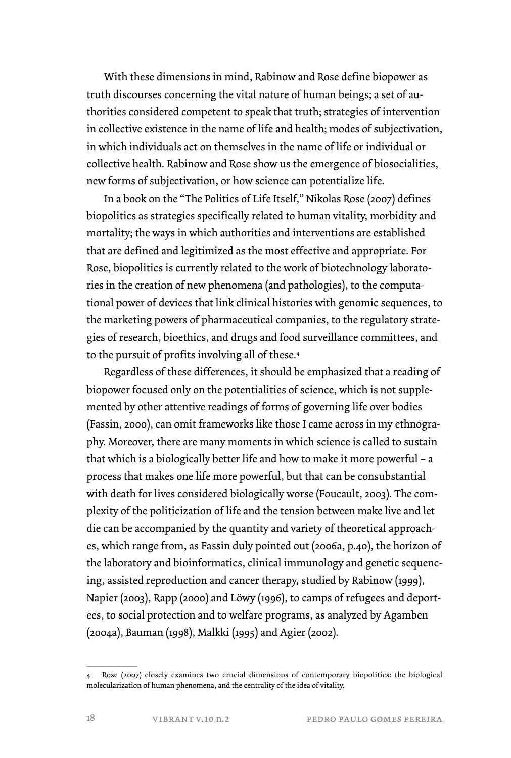With these dimensions in mind, Rabinow and Rose define biopower as truth discourses concerning the vital nature of human beings; a set of authorities considered competent to speak that truth; strategies of intervention in collective existence in the name of life and health; modes of subjectivation, in which individuals act on themselves in the name of life or individual or collective health. Rabinow and Rose show us the emergence of biosocialities, new forms of subjectivation, or how science can potentialize life.

In a book on the "The Politics of Life Itself," Nikolas Rose (2007) defines biopolitics as strategies specifically related to human vitality, morbidity and mortality; the ways in which authorities and interventions are established that are defined and legitimized as the most effective and appropriate. For Rose, biopolitics is currently related to the work of biotechnology laboratories in the creation of new phenomena (and pathologies), to the computational power of devices that link clinical histories with genomic sequences, to the marketing powers of pharmaceutical companies, to the regulatory strategies of research, bioethics, and drugs and food surveillance committees, and to the pursuit of profits involving all of these.<sup>4</sup>

Regardless of these differences, it should be emphasized that a reading of biopower focused only on the potentialities of science, which is not supplemented by other attentive readings of forms of governing life over bodies (Fassin, 2000), can omit frameworks like those I came across in my ethnography. Moreover, there are many moments in which science is called to sustain that which is a biologically better life and how to make it more powerful – a process that makes one life more powerful, but that can be consubstantial with death for lives considered biologically worse (Foucault, 2003). The complexity of the politicization of life and the tension between make live and let die can be accompanied by the quantity and variety of theoretical approaches, which range from, as Fassin duly pointed out (2006a, p.40), the horizon of the laboratory and bioinformatics, clinical immunology and genetic sequencing, assisted reproduction and cancer therapy, studied by Rabinow (1999), Napier (2003), Rapp (2000) and Löwy (1996), to camps of refugees and deportees, to social protection and to welfare programs, as analyzed by Agamben (2004a), Bauman (1998), Malkki (1995) and Agier (2002).

<sup>4</sup> Rose (2007) closely examines two crucial dimensions of contemporary biopolitics: the biological molecularization of human phenomena, and the centrality of the idea of vitality.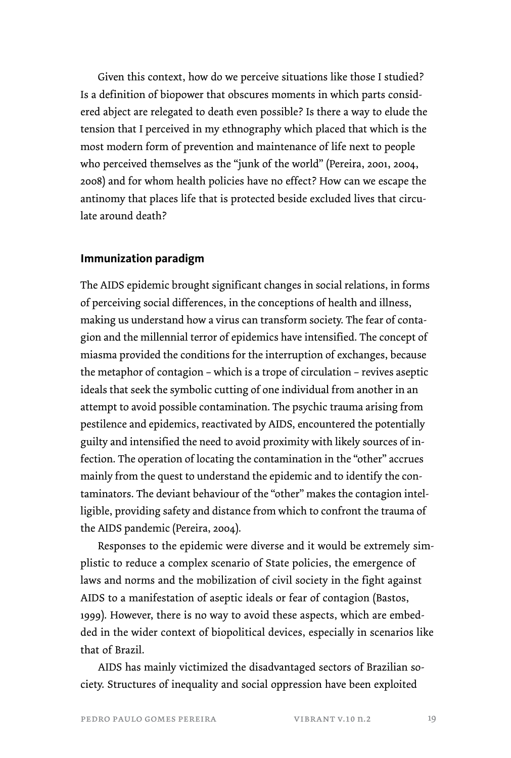Given this context, how do we perceive situations like those I studied? Is a definition of biopower that obscures moments in which parts considered abject are relegated to death even possible? Is there a way to elude the tension that I perceived in my ethnography which placed that which is the most modern form of prevention and maintenance of life next to people who perceived themselves as the "junk of the world" (Pereira, 2001, 2004, 2008) and for whom health policies have no effect? How can we escape the antinomy that places life that is protected beside excluded lives that circulate around death?

#### **Immunization paradigm**

The AIDS epidemic brought significant changes in social relations, in forms of perceiving social differences, in the conceptions of health and illness, making us understand how a virus can transform society. The fear of contagion and the millennial terror of epidemics have intensified. The concept of miasma provided the conditions for the interruption of exchanges, because the metaphor of contagion – which is a trope of circulation – revives aseptic ideals that seek the symbolic cutting of one individual from another in an attempt to avoid possible contamination. The psychic trauma arising from pestilence and epidemics, reactivated by AIDS, encountered the potentially guilty and intensified the need to avoid proximity with likely sources of infection. The operation of locating the contamination in the "other" accrues mainly from the quest to understand the epidemic and to identify the contaminators. The deviant behaviour of the "other" makes the contagion intelligible, providing safety and distance from which to confront the trauma of the AIDS pandemic (Pereira, 2004).

Responses to the epidemic were diverse and it would be extremely simplistic to reduce a complex scenario of State policies, the emergence of laws and norms and the mobilization of civil society in the fight against AIDS to a manifestation of aseptic ideals or fear of contagion (Bastos, 1999). However, there is no way to avoid these aspects, which are embedded in the wider context of biopolitical devices, especially in scenarios like that of Brazil.

AIDS has mainly victimized the disadvantaged sectors of Brazilian society. Structures of inequality and social oppression have been exploited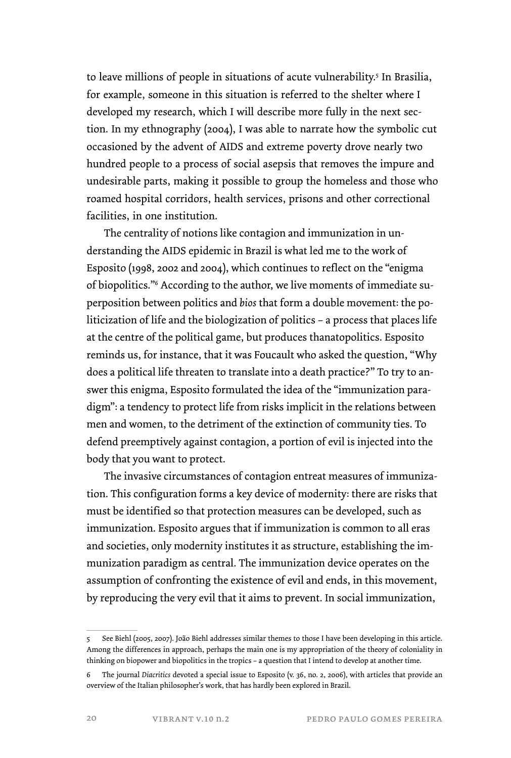to leave millions of people in situations of acute vulnerability.<sup>5</sup> In Brasilia, for example, someone in this situation is referred to the shelter where I developed my research, which I will describe more fully in the next section. In my ethnography (2004), I was able to narrate how the symbolic cut occasioned by the advent of AIDS and extreme poverty drove nearly two hundred people to a process of social asepsis that removes the impure and undesirable parts, making it possible to group the homeless and those who roamed hospital corridors, health services, prisons and other correctional facilities, in one institution.

The centrality of notions like contagion and immunization in understanding the AIDS epidemic in Brazil is what led me to the work of Esposito (1998, 2002 and 2004), which continues to reflect on the "enigma of biopolitics."6 According to the author, we live moments of immediate superposition between politics and *bios* that form a double movement: the politicization of life and the biologization of politics – a process that places life at the centre of the political game, but produces thanatopolitics. Esposito reminds us, for instance, that it was Foucault who asked the question, "Why does a political life threaten to translate into a death practice?" To try to answer this enigma, Esposito formulated the idea of the "immunization paradigm": a tendency to protect life from risks implicit in the relations between men and women, to the detriment of the extinction of community ties. To defend preemptively against contagion, a portion of evil is injected into the body that you want to protect.

The invasive circumstances of contagion entreat measures of immunization. This configuration forms a key device of modernity: there are risks that must be identified so that protection measures can be developed, such as immunization. Esposito argues that if immunization is common to all eras and societies, only modernity institutes it as structure, establishing the immunization paradigm as central. The immunization device operates on the assumption of confronting the existence of evil and ends, in this movement, by reproducing the very evil that it aims to prevent. In social immunization,

<sup>5</sup> See Biehl (2005, 2007). João Biehl addresses similar themes to those I have been developing in this article. Among the differences in approach, perhaps the main one is my appropriation of the theory of coloniality in thinking on biopower and biopolitics in the tropics – a question that I intend to develop at another time.

<sup>6</sup> The journal *Diacritics* devoted a special issue to Esposito (v. 36, no. 2, 2006), with articles that provide an overview of the Italian philosopher's work, that has hardly been explored in Brazil.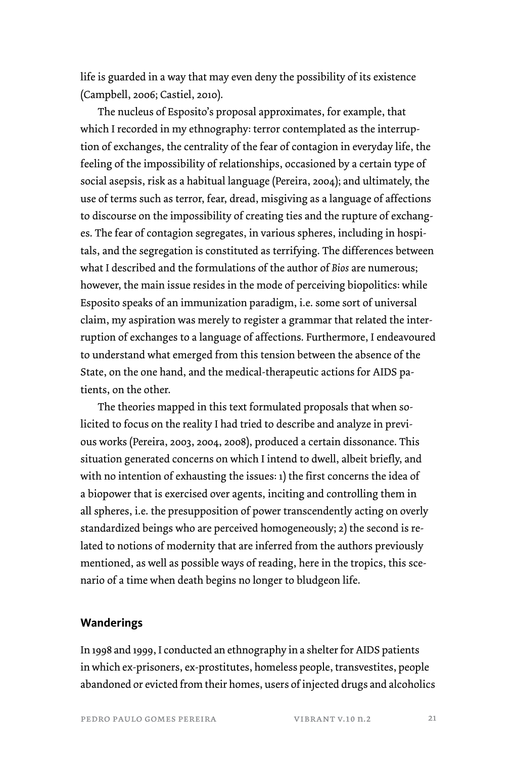life is guarded in a way that may even deny the possibility of its existence (Campbell, 2006; Castiel, 2010).

The nucleus of Esposito's proposal approximates, for example, that which I recorded in my ethnography: terror contemplated as the interruption of exchanges, the centrality of the fear of contagion in everyday life, the feeling of the impossibility of relationships, occasioned by a certain type of social asepsis, risk as a habitual language (Pereira, 2004); and ultimately, the use of terms such as terror, fear, dread, misgiving as a language of affections to discourse on the impossibility of creating ties and the rupture of exchanges. The fear of contagion segregates, in various spheres, including in hospitals, and the segregation is constituted as terrifying. The differences between what I described and the formulations of the author of *Bios* are numerous; however, the main issue resides in the mode of perceiving biopolitics: while Esposito speaks of an immunization paradigm, i.e. some sort of universal claim, my aspiration was merely to register a grammar that related the interruption of exchanges to a language of affections. Furthermore, I endeavoured to understand what emerged from this tension between the absence of the State, on the one hand, and the medical-therapeutic actions for AIDS patients, on the other.

The theories mapped in this text formulated proposals that when solicited to focus on the reality I had tried to describe and analyze in previous works (Pereira, 2003, 2004, 2008), produced a certain dissonance. This situation generated concerns on which I intend to dwell, albeit briefly, and with no intention of exhausting the issues: 1) the first concerns the idea of a biopower that is exercised over agents, inciting and controlling them in all spheres, i.e. the presupposition of power transcendently acting on overly standardized beings who are perceived homogeneously; 2) the second is related to notions of modernity that are inferred from the authors previously mentioned, as well as possible ways of reading, here in the tropics, this scenario of a time when death begins no longer to bludgeon life.

#### **Wanderings**

In 1998 and 1999, I conducted an ethnography in a shelter for AIDS patients in which ex-prisoners, ex-prostitutes, homeless people, transvestites, people abandoned or evicted from their homes, users of injected drugs and alcoholics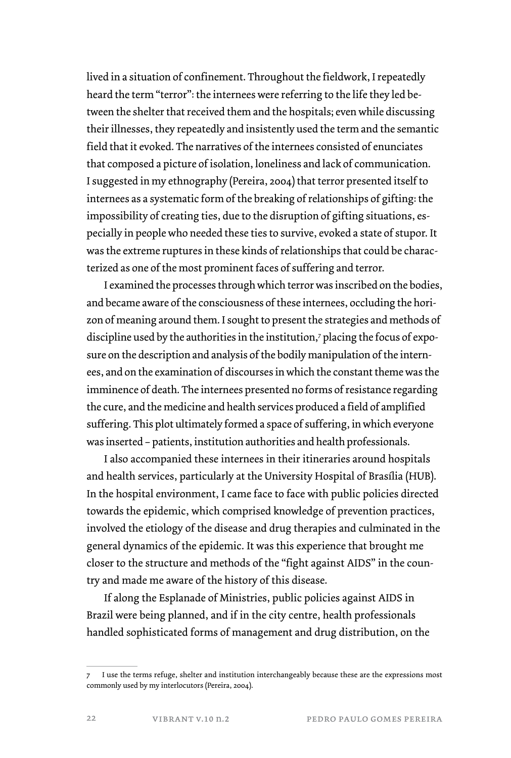lived in a situation of confinement. Throughout the fieldwork, I repeatedly heard the term "terror": the internees were referring to the life they led between the shelter that received them and the hospitals; even while discussing their illnesses, they repeatedly and insistently used the term and the semantic field that it evoked. The narratives of the internees consisted of enunciates that composed a picture of isolation, loneliness and lack of communication. I suggested in my ethnography (Pereira, 2004) that terror presented itself to internees as a systematic form of the breaking of relationships of gifting: the impossibility of creating ties, due to the disruption of gifting situations, especially in people who needed these ties to survive, evoked a state of stupor. It was the extreme ruptures in these kinds of relationships that could be characterized as one of the most prominent faces of suffering and terror.

I examined the processes through which terror was inscribed on the bodies, and became aware of the consciousness of these internees, occluding the horizon of meaning around them. I sought to present the strategies and methods of discipline used by the authorities in the institution,7 placing the focus of exposure on the description and analysis of the bodily manipulation of the internees, and on the examination of discourses in which the constant theme was the imminence of death. The internees presented no forms of resistance regarding the cure, and the medicine and health services produced a field of amplified suffering. This plot ultimately formed a space of suffering, in which everyone was inserted – patients, institution authorities and health professionals.

I also accompanied these internees in their itineraries around hospitals and health services, particularly at the University Hospital of Brasília (HUB). In the hospital environment, I came face to face with public policies directed towards the epidemic, which comprised knowledge of prevention practices, involved the etiology of the disease and drug therapies and culminated in the general dynamics of the epidemic. It was this experience that brought me closer to the structure and methods of the "fight against AIDS" in the country and made me aware of the history of this disease.

If along the Esplanade of Ministries, public policies against AIDS in Brazil were being planned, and if in the city centre, health professionals handled sophisticated forms of management and drug distribution, on the

I use the terms refuge, shelter and institution interchangeably because these are the expressions most commonly used by my interlocutors (Pereira, 2004).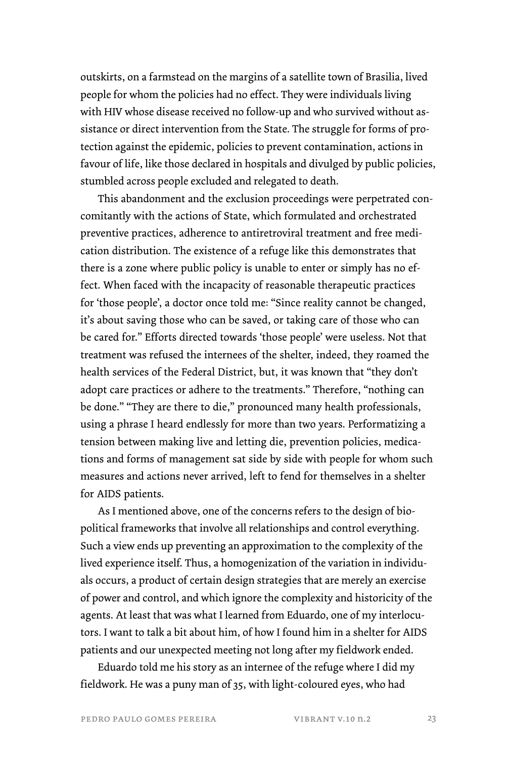outskirts, on a farmstead on the margins of a satellite town of Brasilia, lived people for whom the policies had no effect. They were individuals living with HIV whose disease received no follow-up and who survived without assistance or direct intervention from the State. The struggle for forms of protection against the epidemic, policies to prevent contamination, actions in favour of life, like those declared in hospitals and divulged by public policies, stumbled across people excluded and relegated to death.

This abandonment and the exclusion proceedings were perpetrated concomitantly with the actions of State, which formulated and orchestrated preventive practices, adherence to antiretroviral treatment and free medication distribution. The existence of a refuge like this demonstrates that there is a zone where public policy is unable to enter or simply has no effect. When faced with the incapacity of reasonable therapeutic practices for 'those people', a doctor once told me: "Since reality cannot be changed, it's about saving those who can be saved, or taking care of those who can be cared for." Efforts directed towards 'those people' were useless. Not that treatment was refused the internees of the shelter, indeed, they roamed the health services of the Federal District, but, it was known that "they don't adopt care practices or adhere to the treatments." Therefore, "nothing can be done." "They are there to die," pronounced many health professionals, using a phrase I heard endlessly for more than two years. Performatizing a tension between making live and letting die, prevention policies, medications and forms of management sat side by side with people for whom such measures and actions never arrived, left to fend for themselves in a shelter for AIDS patients.

As I mentioned above, one of the concerns refers to the design of biopolitical frameworks that involve all relationships and control everything. Such a view ends up preventing an approximation to the complexity of the lived experience itself. Thus, a homogenization of the variation in individuals occurs, a product of certain design strategies that are merely an exercise of power and control, and which ignore the complexity and historicity of the agents. At least that was what I learned from Eduardo, one of my interlocutors. I want to talk a bit about him, of how I found him in a shelter for AIDS patients and our unexpected meeting not long after my fieldwork ended.

Eduardo told me his story as an internee of the refuge where I did my fieldwork. He was a puny man of 35, with light-coloured eyes, who had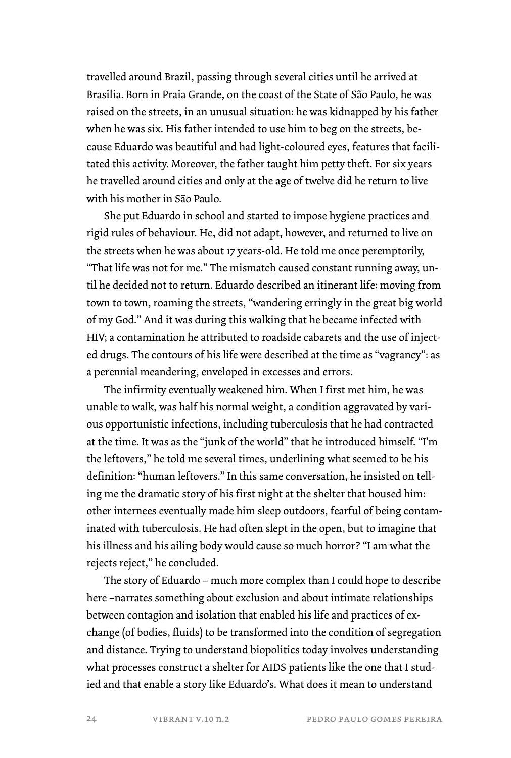travelled around Brazil, passing through several cities until he arrived at Brasilia. Born in Praia Grande, on the coast of the State of São Paulo, he was raised on the streets, in an unusual situation: he was kidnapped by his father when he was six. His father intended to use him to beg on the streets, because Eduardo was beautiful and had light-coloured eyes, features that facilitated this activity. Moreover, the father taught him petty theft. For six years he travelled around cities and only at the age of twelve did he return to live with his mother in São Paulo.

She put Eduardo in school and started to impose hygiene practices and rigid rules of behaviour. He, did not adapt, however, and returned to live on the streets when he was about 17 years-old. He told me once peremptorily, "That life was not for me." The mismatch caused constant running away, until he decided not to return. Eduardo described an itinerant life: moving from town to town, roaming the streets, "wandering erringly in the great big world of my God." And it was during this walking that he became infected with HIV; a contamination he attributed to roadside cabarets and the use of injected drugs. The contours of his life were described at the time as "vagrancy": as a perennial meandering, enveloped in excesses and errors.

The infirmity eventually weakened him. When I first met him, he was unable to walk, was half his normal weight, a condition aggravated by various opportunistic infections, including tuberculosis that he had contracted at the time. It was as the "junk of the world" that he introduced himself. "I'm the leftovers," he told me several times, underlining what seemed to be his definition: "human leftovers." In this same conversation, he insisted on telling me the dramatic story of his first night at the shelter that housed him: other internees eventually made him sleep outdoors, fearful of being contaminated with tuberculosis. He had often slept in the open, but to imagine that his illness and his ailing body would cause so much horror? "I am what the rejects reject," he concluded.

The story of Eduardo – much more complex than I could hope to describe here –narrates something about exclusion and about intimate relationships between contagion and isolation that enabled his life and practices of exchange (of bodies, fluids) to be transformed into the condition of segregation and distance. Trying to understand biopolitics today involves understanding what processes construct a shelter for AIDS patients like the one that I studied and that enable a story like Eduardo's. What does it mean to understand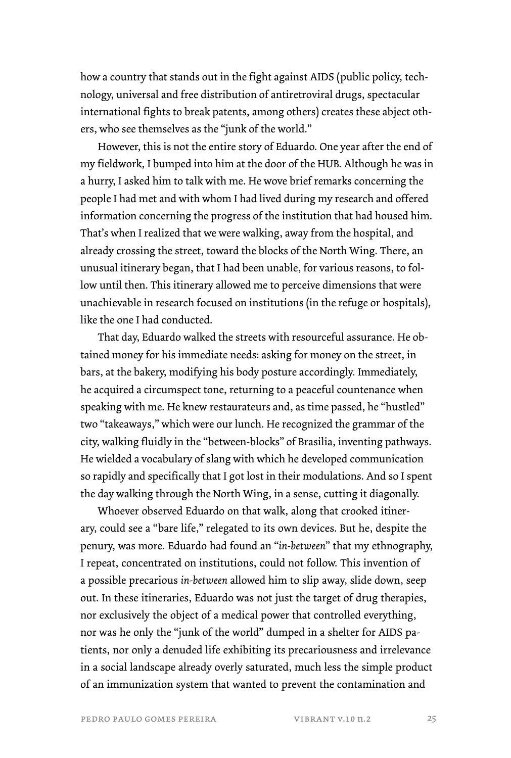how a country that stands out in the fight against AIDS (public policy, technology, universal and free distribution of antiretroviral drugs, spectacular international fights to break patents, among others) creates these abject others, who see themselves as the "junk of the world."

However, this is not the entire story of Eduardo. One year after the end of my fieldwork, I bumped into him at the door of the HUB. Although he was in a hurry, I asked him to talk with me. He wove brief remarks concerning the people I had met and with whom I had lived during my research and offered information concerning the progress of the institution that had housed him. That's when I realized that we were walking, away from the hospital, and already crossing the street, toward the blocks of the North Wing. There, an unusual itinerary began, that I had been unable, for various reasons, to follow until then. This itinerary allowed me to perceive dimensions that were unachievable in research focused on institutions (in the refuge or hospitals), like the one I had conducted.

That day, Eduardo walked the streets with resourceful assurance. He obtained money for his immediate needs: asking for money on the street, in bars, at the bakery, modifying his body posture accordingly. Immediately, he acquired a circumspect tone, returning to a peaceful countenance when speaking with me. He knew restaurateurs and, as time passed, he "hustled" two "takeaways," which were our lunch. He recognized the grammar of the city, walking fluidly in the "between-blocks" of Brasilia, inventing pathways. He wielded a vocabulary of slang with which he developed communication so rapidly and specifically that I got lost in their modulations. And so I spent the day walking through the North Wing, in a sense, cutting it diagonally.

Whoever observed Eduardo on that walk, along that crooked itinerary, could see a "bare life," relegated to its own devices. But he, despite the penury, was more. Eduardo had found an "*in-between*" that my ethnography, I repeat, concentrated on institutions, could not follow. This invention of a possible precarious *in-between* allowed him to slip away, slide down, seep out. In these itineraries, Eduardo was not just the target of drug therapies, nor exclusively the object of a medical power that controlled everything, nor was he only the "junk of the world" dumped in a shelter for AIDS patients, nor only a denuded life exhibiting its precariousness and irrelevance in a social landscape already overly saturated, much less the simple product of an immunization system that wanted to prevent the contamination and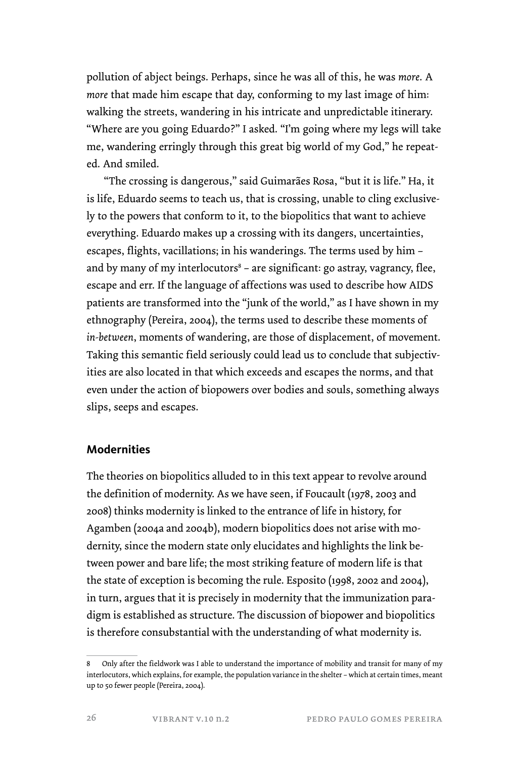pollution of abject beings. Perhaps, since he was all of this, he was *more*. A *more* that made him escape that day, conforming to my last image of him: walking the streets, wandering in his intricate and unpredictable itinerary. "Where are you going Eduardo?" I asked. "I'm going where my legs will take me, wandering erringly through this great big world of my God," he repeated. And smiled.

"The crossing is dangerous," said Guimarães Rosa, "but it is life." Ha, it is life, Eduardo seems to teach us, that is crossing, unable to cling exclusively to the powers that conform to it, to the biopolitics that want to achieve everything. Eduardo makes up a crossing with its dangers, uncertainties, escapes, flights, vacillations; in his wanderings. The terms used by him – and by many of my interlocutors<sup>s</sup> – are significant: go astray, vagrancy, flee, escape and err. If the language of affections was used to describe how AIDS patients are transformed into the "junk of the world," as I have shown in my ethnography (Pereira, 2004), the terms used to describe these moments of *in-between*, moments of wandering, are those of displacement, of movement. Taking this semantic field seriously could lead us to conclude that subjectivities are also located in that which exceeds and escapes the norms, and that even under the action of biopowers over bodies and souls, something always slips, seeps and escapes.

### **Modernities**

The theories on biopolitics alluded to in this text appear to revolve around the definition of modernity. As we have seen, if Foucault (1978, 2003 and 2008) thinks modernity is linked to the entrance of life in history, for Agamben (2004a and 2004b), modern biopolitics does not arise with modernity, since the modern state only elucidates and highlights the link between power and bare life; the most striking feature of modern life is that the state of exception is becoming the rule. Esposito (1998, 2002 and 2004), in turn, argues that it is precisely in modernity that the immunization paradigm is established as structure. The discussion of biopower and biopolitics is therefore consubstantial with the understanding of what modernity is.

Only after the fieldwork was I able to understand the importance of mobility and transit for many of my interlocutors, which explains, for example, the population variance in the shelter – which at certain times, meant up to 50 fewer people (Pereira, 2004).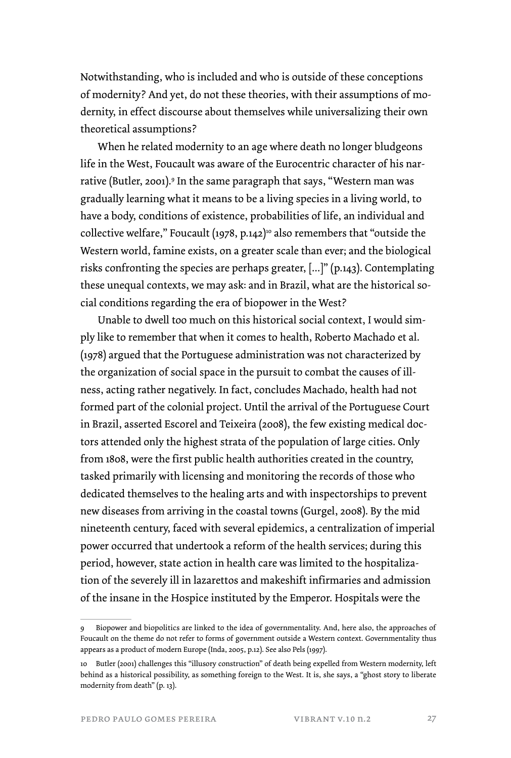Notwithstanding, who is included and who is outside of these conceptions of modernity? And yet, do not these theories, with their assumptions of modernity, in effect discourse about themselves while universalizing their own theoretical assumptions?

When he related modernity to an age where death no longer bludgeons life in the West, Foucault was aware of the Eurocentric character of his narrative (Butler, 2001).<sup>9</sup> In the same paragraph that says, "Western man was gradually learning what it means to be a living species in a living world, to have a body, conditions of existence, probabilities of life, an individual and collective welfare," Foucault (1978, p.142)<sup>10</sup> also remembers that "outside the Western world, famine exists, on a greater scale than ever; and the biological risks confronting the species are perhaps greater, [...]" (p.143). Contemplating these unequal contexts, we may ask: and in Brazil, what are the historical social conditions regarding the era of biopower in the West?

Unable to dwell too much on this historical social context, I would simply like to remember that when it comes to health, Roberto Machado et al. (1978) argued that the Portuguese administration was not characterized by the organization of social space in the pursuit to combat the causes of illness, acting rather negatively. In fact, concludes Machado, health had not formed part of the colonial project. Until the arrival of the Portuguese Court in Brazil, asserted Escorel and Teixeira (2008), the few existing medical doctors attended only the highest strata of the population of large cities. Only from 1808, were the first public health authorities created in the country, tasked primarily with licensing and monitoring the records of those who dedicated themselves to the healing arts and with inspectorships to prevent new diseases from arriving in the coastal towns (Gurgel, 2008). By the mid nineteenth century, faced with several epidemics, a centralization of imperial power occurred that undertook a reform of the health services; during this period, however, state action in health care was limited to the hospitalization of the severely ill in lazarettos and makeshift infirmaries and admission of the insane in the Hospice instituted by the Emperor. Hospitals were the

Biopower and biopolitics are linked to the idea of governmentality. And, here also, the approaches of Foucault on the theme do not refer to forms of government outside a Western context. Governmentality thus appears as a product of modern Europe (Inda, 2005, p.12). See also Pels (1997).

<sup>10</sup> Butler (2001) challenges this "illusory construction" of death being expelled from Western modernity, left behind as a historical possibility, as something foreign to the West. It is, she says, a "ghost story to liberate modernity from death" (p. 13).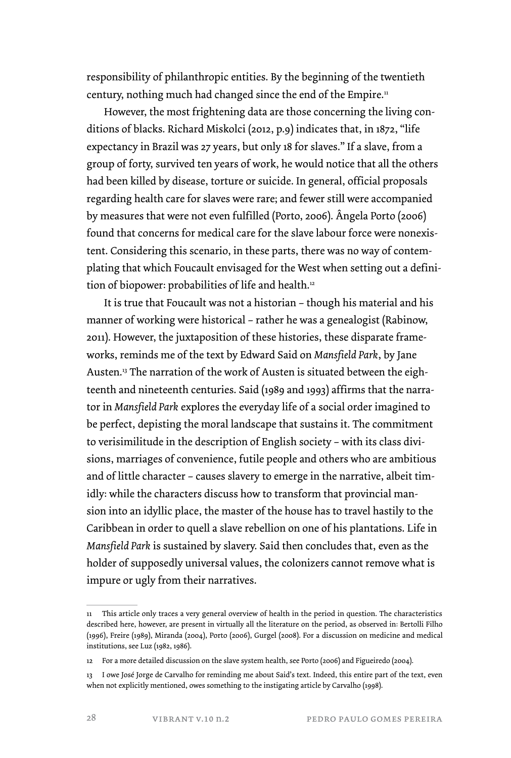responsibility of philanthropic entities. By the beginning of the twentieth century, nothing much had changed since the end of the Empire.<sup>11</sup>

However, the most frightening data are those concerning the living conditions of blacks. Richard Miskolci (2012, p.9) indicates that, in 1872, "life expectancy in Brazil was 27 years, but only 18 for slaves." If a slave, from a group of forty, survived ten years of work, he would notice that all the others had been killed by disease, torture or suicide. In general, official proposals regarding health care for slaves were rare; and fewer still were accompanied by measures that were not even fulfilled (Porto, 2006). Ângela Porto (2006) found that concerns for medical care for the slave labour force were nonexistent. Considering this scenario, in these parts, there was no way of contemplating that which Foucault envisaged for the West when setting out a definition of biopower: probabilities of life and health.<sup>12</sup>

It is true that Foucault was not a historian – though his material and his manner of working were historical – rather he was a genealogist (Rabinow, 2011). However, the juxtaposition of these histories, these disparate frameworks, reminds me of the text by Edward Said on *Mansfield Park*, by Jane Austen.<sup>13</sup> The narration of the work of Austen is situated between the eighteenth and nineteenth centuries. Said (1989 and 1993) affirms that the narrator in *Mansfield Park* explores the everyday life of a social order imagined to be perfect, depisting the moral landscape that sustains it. The commitment to verisimilitude in the description of English society – with its class divisions, marriages of convenience, futile people and others who are ambitious and of little character – causes slavery to emerge in the narrative, albeit timidly: while the characters discuss how to transform that provincial mansion into an idyllic place, the master of the house has to travel hastily to the Caribbean in order to quell a slave rebellion on one of his plantations. Life in *Mansfield Park* is sustained by slavery. Said then concludes that, even as the holder of supposedly universal values, the colonizers cannot remove what is impure or ugly from their narratives.

<sup>11</sup> This article only traces a very general overview of health in the period in question. The characteristics described here, however, are present in virtually all the literature on the period, as observed in: Bertolli Filho (1996), Freire (1989), Miranda (2004), Porto (2006), Gurgel (2008). For a discussion on medicine and medical institutions, see Luz (1982, 1986).

<sup>12</sup> For a more detailed discussion on the slave system health, see Porto (2006) and Figueiredo (2004).

<sup>13</sup> I owe José Jorge de Carvalho for reminding me about Said's text. Indeed, this entire part of the text, even when not explicitly mentioned, owes something to the instigating article by Carvalho (1998).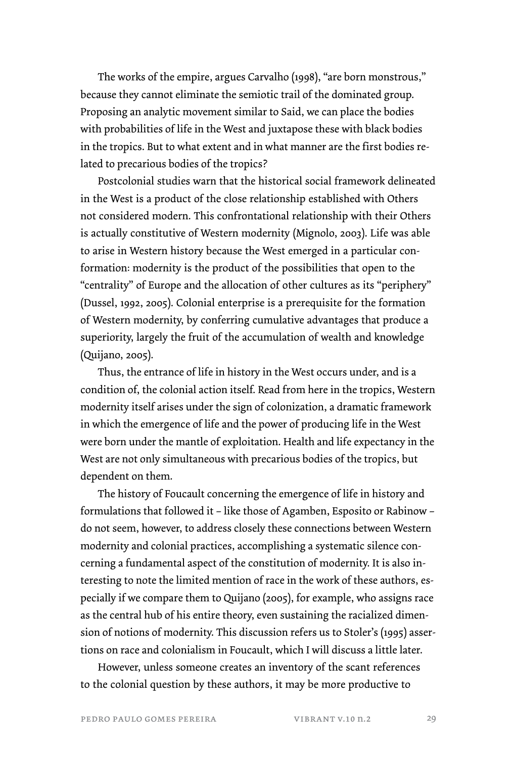The works of the empire, argues Carvalho (1998), "are born monstrous," because they cannot eliminate the semiotic trail of the dominated group. Proposing an analytic movement similar to Said, we can place the bodies with probabilities of life in the West and juxtapose these with black bodies in the tropics. But to what extent and in what manner are the first bodies related to precarious bodies of the tropics?

Postcolonial studies warn that the historical social framework delineated in the West is a product of the close relationship established with Others not considered modern. This confrontational relationship with their Others is actually constitutive of Western modernity (Mignolo, 2003). Life was able to arise in Western history because the West emerged in a particular conformation: modernity is the product of the possibilities that open to the "centrality" of Europe and the allocation of other cultures as its "periphery" (Dussel, 1992, 2005). Colonial enterprise is a prerequisite for the formation of Western modernity, by conferring cumulative advantages that produce a superiority, largely the fruit of the accumulation of wealth and knowledge (Quijano, 2005).

Thus, the entrance of life in history in the West occurs under, and is a condition of, the colonial action itself. Read from here in the tropics, Western modernity itself arises under the sign of colonization, a dramatic framework in which the emergence of life and the power of producing life in the West were born under the mantle of exploitation. Health and life expectancy in the West are not only simultaneous with precarious bodies of the tropics, but dependent on them.

The history of Foucault concerning the emergence of life in history and formulations that followed it – like those of Agamben, Esposito or Rabinow – do not seem, however, to address closely these connections between Western modernity and colonial practices, accomplishing a systematic silence concerning a fundamental aspect of the constitution of modernity. It is also interesting to note the limited mention of race in the work of these authors, especially if we compare them to Quijano (2005), for example, who assigns race as the central hub of his entire theory, even sustaining the racialized dimension of notions of modernity. This discussion refers us to Stoler's (1995) assertions on race and colonialism in Foucault, which I will discuss a little later.

However, unless someone creates an inventory of the scant references to the colonial question by these authors, it may be more productive to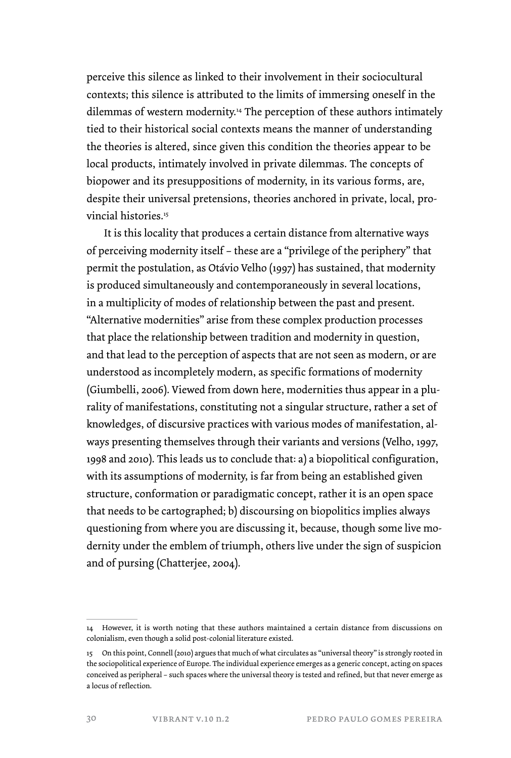perceive this silence as linked to their involvement in their sociocultural contexts; this silence is attributed to the limits of immersing oneself in the dilemmas of western modernity.<sup>14</sup> The perception of these authors intimately tied to their historical social contexts means the manner of understanding the theories is altered, since given this condition the theories appear to be local products, intimately involved in private dilemmas. The concepts of biopower and its presuppositions of modernity, in its various forms, are, despite their universal pretensions, theories anchored in private, local, provincial histories.<sup>15</sup>

It is this locality that produces a certain distance from alternative ways of perceiving modernity itself – these are a "privilege of the periphery" that permit the postulation, as Otávio Velho (1997) has sustained, that modernity is produced simultaneously and contemporaneously in several locations, in a multiplicity of modes of relationship between the past and present. "Alternative modernities" arise from these complex production processes that place the relationship between tradition and modernity in question, and that lead to the perception of aspects that are not seen as modern, or are understood as incompletely modern, as specific formations of modernity (Giumbelli, 2006). Viewed from down here, modernities thus appear in a plurality of manifestations, constituting not a singular structure, rather a set of knowledges, of discursive practices with various modes of manifestation, always presenting themselves through their variants and versions (Velho, 1997, 1998 and 2010). This leads us to conclude that: a) a biopolitical configuration, with its assumptions of modernity, is far from being an established given structure, conformation or paradigmatic concept, rather it is an open space that needs to be cartographed; b) discoursing on biopolitics implies always questioning from where you are discussing it, because, though some live modernity under the emblem of triumph, others live under the sign of suspicion and of pursing (Chatterjee, 2004).

<sup>14</sup> However, it is worth noting that these authors maintained a certain distance from discussions on colonialism, even though a solid post-colonial literature existed.

<sup>15</sup> On this point, Connell (2010) argues that much of what circulates as "universal theory" is strongly rooted in the sociopolitical experience of Europe. The individual experience emerges as a generic concept, acting on spaces conceived as peripheral – such spaces where the universal theory is tested and refined, but that never emerge as a locus of reflection.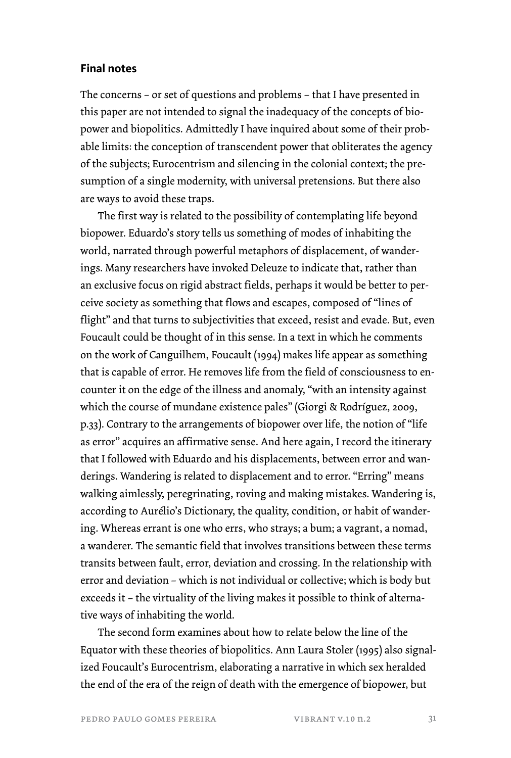#### **Final notes**

The concerns – or set of questions and problems – that I have presented in this paper are not intended to signal the inadequacy of the concepts of biopower and biopolitics. Admittedly I have inquired about some of their probable limits: the conception of transcendent power that obliterates the agency of the subjects; Eurocentrism and silencing in the colonial context; the presumption of a single modernity, with universal pretensions. But there also are ways to avoid these traps.

The first way is related to the possibility of contemplating life beyond biopower. Eduardo's story tells us something of modes of inhabiting the world, narrated through powerful metaphors of displacement, of wanderings. Many researchers have invoked Deleuze to indicate that, rather than an exclusive focus on rigid abstract fields, perhaps it would be better to perceive society as something that flows and escapes, composed of "lines of flight" and that turns to subjectivities that exceed, resist and evade. But, even Foucault could be thought of in this sense. In a text in which he comments on the work of Canguilhem, Foucault (1994) makes life appear as something that is capable of error. He removes life from the field of consciousness to encounter it on the edge of the illness and anomaly, "with an intensity against which the course of mundane existence pales" (Giorgi & Rodríguez, 2009, p.33). Contrary to the arrangements of biopower over life, the notion of "life as error" acquires an affirmative sense. And here again, I record the itinerary that I followed with Eduardo and his displacements, between error and wanderings. Wandering is related to displacement and to error. "Erring" means walking aimlessly, peregrinating, roving and making mistakes. Wandering is, according to Aurélio's Dictionary, the quality, condition, or habit of wandering. Whereas errant is one who errs, who strays; a bum; a vagrant, a nomad, a wanderer. The semantic field that involves transitions between these terms transits between fault, error, deviation and crossing. In the relationship with error and deviation – which is not individual or collective; which is body but exceeds it – the virtuality of the living makes it possible to think of alternative ways of inhabiting the world.

The second form examines about how to relate below the line of the Equator with these theories of biopolitics. Ann Laura Stoler (1995) also signalized Foucault's Eurocentrism, elaborating a narrative in which sex heralded the end of the era of the reign of death with the emergence of biopower, but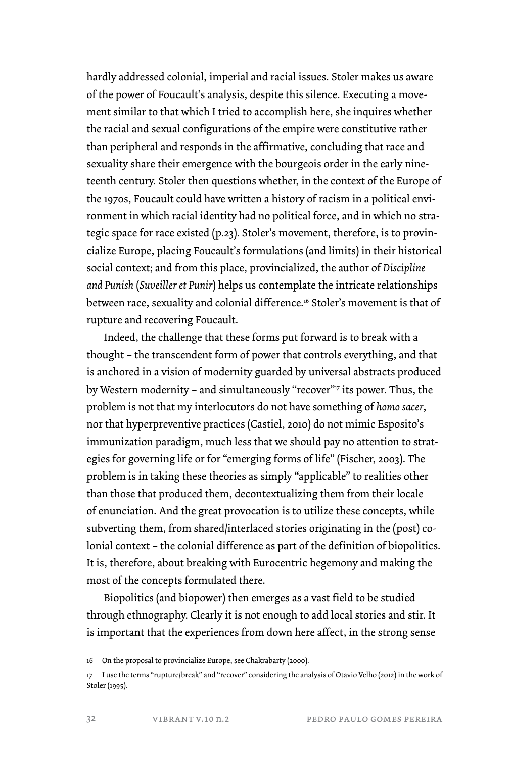hardly addressed colonial, imperial and racial issues. Stoler makes us aware of the power of Foucault's analysis, despite this silence. Executing a movement similar to that which I tried to accomplish here, she inquires whether the racial and sexual configurations of the empire were constitutive rather than peripheral and responds in the affirmative, concluding that race and sexuality share their emergence with the bourgeois order in the early nineteenth century. Stoler then questions whether, in the context of the Europe of the 1970s, Foucault could have written a history of racism in a political environment in which racial identity had no political force, and in which no strategic space for race existed (p.23). Stoler's movement, therefore, is to provincialize Europe, placing Foucault's formulations (and limits) in their historical social context; and from this place, provincialized, the author of *Discipline and Punish* (*Suveiller et Punir*) helps us contemplate the intricate relationships between race, sexuality and colonial difference.<sup>16</sup> Stoler's movement is that of rupture and recovering Foucault.

Indeed, the challenge that these forms put forward is to break with a thought – the transcendent form of power that controls everything, and that is anchored in a vision of modernity guarded by universal abstracts produced by Western modernity - and simultaneously "recover"<sup>17</sup> its power. Thus, the problem is not that my interlocutors do not have something of *homo sacer*, nor that hyperpreventive practices (Castiel, 2010) do not mimic Esposito's immunization paradigm, much less that we should pay no attention to strategies for governing life or for "emerging forms of life" (Fischer, 2003). The problem is in taking these theories as simply "applicable" to realities other than those that produced them, decontextualizing them from their locale of enunciation. And the great provocation is to utilize these concepts, while subverting them, from shared/interlaced stories originating in the (post) colonial context – the colonial difference as part of the definition of biopolitics. It is, therefore, about breaking with Eurocentric hegemony and making the most of the concepts formulated there.

Biopolitics (and biopower) then emerges as a vast field to be studied through ethnography. Clearly it is not enough to add local stories and stir. It is important that the experiences from down here affect, in the strong sense

<sup>16</sup> On the proposal to provincialize Europe, see Chakrabarty (2000).

<sup>17</sup> I use the terms "rupture/break" and "recover" considering the analysis of Otavio Velho (2012) in the work of Stoler (1995).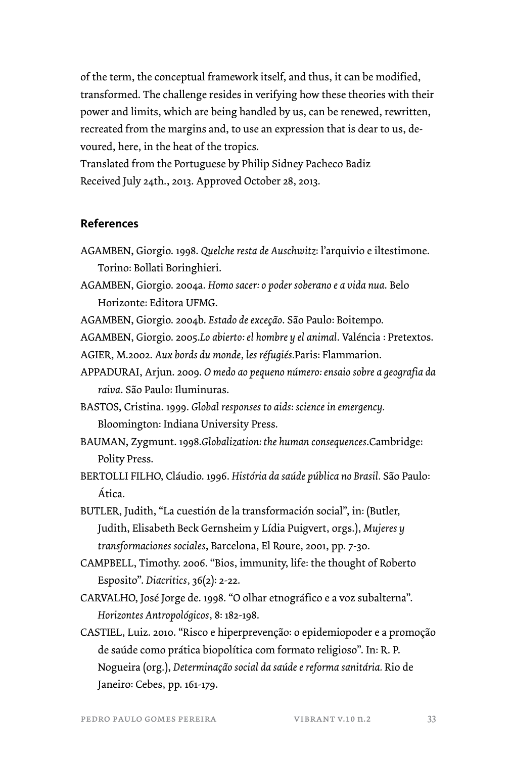of the term, the conceptual framework itself, and thus, it can be modified, transformed. The challenge resides in verifying how these theories with their power and limits, which are being handled by us, can be renewed, rewritten, recreated from the margins and, to use an expression that is dear to us, devoured, here, in the heat of the tropics.

Translated from the Portuguese by Philip Sidney Pacheco Badiz Received July 24th., 2013. Approved October 28, 2013.

## **References**

- AGAMBEN, Giorgio. 1998. *Quelche resta de Auschwitz*: l'arquivio e iltestimone. Torino: Bollati Boringhieri.
- AGAMBEN, Giorgio. 2004a. *Homo sacer: o poder soberano e a vida nua*. Belo Horizonte: Editora UFMG.
- AGAMBEN, Giorgio. 2004b. *Estado de exceção*. São Paulo: Boitempo.
- AGAMBEN, Giorgio. 2005.*Lo abierto: el hombre y el animal*. Valéncia : Pretextos.
- Agier, M.2002. *Aux bords du monde, les réfugiés.*Paris: Flammarion.
- APPADURAI, Arjun. 2009. *O medo ao pequeno número: ensaio sobre a geografia da raiva*. São Paulo: Iluminuras.
- BASTOS, Cristina. 1999. *Global responses to aids: science in emergency.* Bloomington: Indiana University Press.
- Bauman, Zygmunt. 1998.*Globalization: the human consequences*.Cambridge: Polity Press.
- BERTOLLI FILHO, Cláudio. 1996. *História da saúde pública no Brasil.* São Paulo: Ática.
- BUTLER, Judith, "La cuestión de la transformación social", in: (Butler, Judith, Elisabeth Beck Gernsheim y Lídia Puigvert, orgs.), *Mujeres y transformaciones sociales*, Barcelona, El Roure, 2001, pp. 7-30.
- CAMPBELL, Timothy. 2006. "Bios, immunity, life: the thought of Roberto Esposito". *Diacritics,* 36(2): 2-22.
- CARVALHO, José Jorge de. 1998. "O olhar etnográfico e a voz subalterna". *Horizontes Antropológicos*, 8: 182-198.
- CASTIEL, Luiz. 2010. "Risco e hiperprevenção: o epidemiopoder e a promoção de saúde como prática biopolítica com formato religioso". In: R. P. Nogueira (org.), *Determinação social da saúde e reforma sanitária.* Rio de Janeiro: Cebes, pp. 161-179.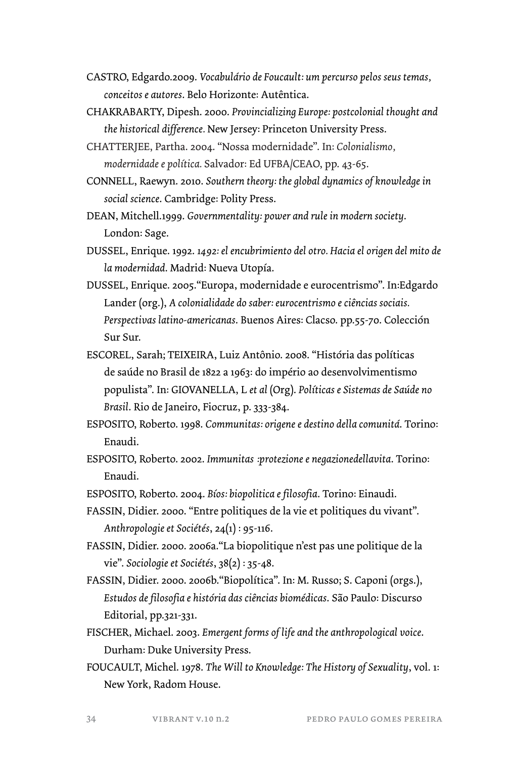- CASTRO, Edgardo.2009. *Vocabulário de Foucault: um percurso pelos seus temas, conceitos e autores*. Belo Horizonte: Autêntica.
- CHAKRABARTY, Dipesh. 2000. *Provincializing Europe: postcolonial thought and the historical difference.* New Jersey: Princeton University Press.
- CHATTERJEE, Partha. 2004. "Nossa modernidade". In: *Colonialismo, modernidade e política.* Salvador: Ed UFBA/CEAO, pp. 43-65.
- CONNELL, Raewyn. 2010. *Southern theory: the global dynamics of knowledge in social science*. Cambridge: Polity Press.
- DEAN, Mitchell.1999. *Governmentality: power and rule in modern society*. London: Sage.
- DUSSEL, Enrique. 1992. *1492: el encubrimiento del otro. Hacia el origen del mito de la modernidad*. Madrid: Nueva Utopía.
- DUSSEL, Enrique. 2005."Europa, modernidade e eurocentrismo". In:Edgardo Lander (org.), *A colonialidade do saber: eurocentrismo e ciências sociais. Perspectivas latino-americanas*. Buenos Aires: Clacso. pp.55-70. Colección Sur Sur.
- ESCOREL, Sarah; TEIXEIRA, Luiz Antônio. 2008. "História das políticas de saúde no Brasil de 1822 a 1963: do império ao desenvolvimentismo populista". In: GIOVANELLA, L *et al* (Org). *Políticas e Sistemas de Saúde no Brasil*. Rio de Janeiro, Fiocruz, p. 333-384.
- ESPOSITO, Roberto. 1998. *Communitas: origene e destino della comunitá*. Torino: Enaudi.
- ESPOSITO, Roberto. 2002. *Immunitas :protezione e negazionedellavita*. Torino: Enaudi.
- ESPOSITO, Roberto. 2004. *Bíos: biopolitica e filosofia*. Torino: Einaudi.
- FASSIN, Didier. 2000. "Entre politiques de la vie et politiques du vivant". *Anthropologie et Sociétés*, 24(1) : 95-116.
- FASSIN, Didier. 2000. 2006a."La biopolitique n'est pas une politique de la vie". *Sociologie et Sociétés*, 38(2) : 35-48.
- FASSIN, Didier. 2000. 2006b."Biopolítica". In: M. Russo; S. Caponi (orgs.), *Estudos de filosofia e história das ciências biomédicas*. São Paulo: Discurso Editorial, pp.321-331.
- FISCHER, Michael. 2003. *Emergent forms of life and the anthropological voice*. Durham: Duke University Press.
- FOUCAULT, Michel. 1978. *The Will to Knowledge: The History of Sexuality*, vol. 1: New York, Radom House.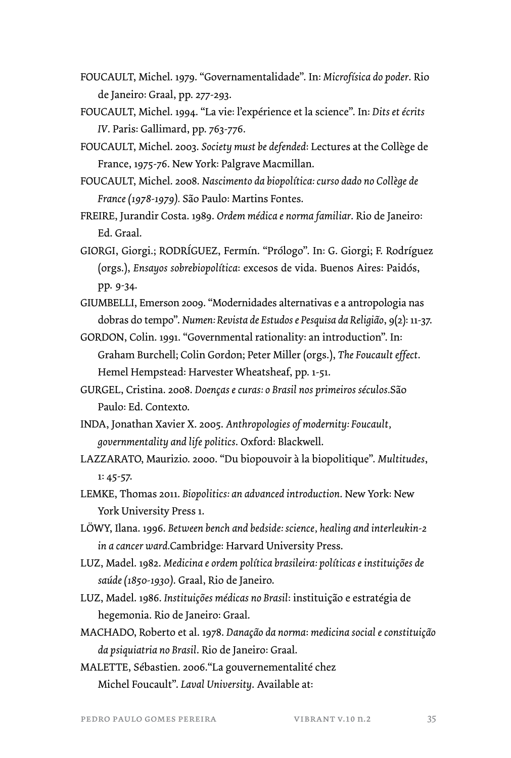- FOUCAULT, Michel. 1979. "Governamentalidade". In: *Microfísica do poder*. Rio de Janeiro: Graal, pp. 277-293.
- FOUCAULT, Michel. 1994. "La vie: l'expérience et la science". In: *Dits et écrits IV*. Paris: Gallimard, pp. 763-776.
- FOUCAULT, Michel. 2003. *Society must be defended*: Lectures at the Collège de France, 1975-76. New York: Palgrave Macmillan.
- FOUCAULT, Michel. 2008. *Nascimento da biopolítica: curso dado no Collège de France (1978-1979).* São Paulo: Martins Fontes.
- FREIRE, Jurandir Costa. 1989. *Ordem médica e norma familiar*. Rio de Janeiro: Ed. Graal.
- GIORGI, Giorgi.; RODRÍGUEZ, Fermín. "Prólogo". In: G. Giorgi; F. Rodríguez (orgs.), *Ensayos sobrebiopolítica*: excesos de vida. Buenos Aires: Paidós, pp. 9-34.
- GIUMBELLI, Emerson 2009. "Modernidades alternativas e a antropologia nas dobras do tempo". *Numen: Revista de Estudos e Pesquisa da Religião*, 9(2): 11-37.
- GORDON, Colin. 1991. "Governmental rationality: an introduction". In: Graham Burchell; Colin Gordon; Peter Miller (orgs.), *The Foucault effect*. Hemel Hempstead: Harvester Wheatsheaf, pp. 1-51.
- GURGEL, Cristina. 2008. *Doenças e curas: o Brasil nos primeiros séculos.*São Paulo: Ed. Contexto.
- INDA, Jonathan Xavier X. 2005. *Anthropologies of modernity: Foucault, governmentality and life politics*. Oxford: Blackwell.
- LAZZARATO, Maurizio. 2000. "Du biopouvoir à la biopolitique". *Multitudes*, 1: 45-57.
- LEMKE, Thomas 2011. *Biopolitics: an advanced introduction*. New York: New York University Press 1.
- Löwy, Ilana. 1996. *Between bench and bedside: science, healing and interleukin-2 in a cancer ward.*Cambridge: Harvard University Press.
- Luz, Madel. 1982. *Medicina e ordem política brasileira: políticas e instituições de saúde (1850-1930)*. Graal, Rio de Janeiro.
- Luz, Madel. 1986. *Instituições médicas no Brasil*: instituição e estratégia de hegemonia. Rio de Janeiro: Graal.
- MACHADO, Roberto et al. 1978. *Danação da norma*: *medicina social e constituição da psiquiatria no Brasil*. Rio de Janeiro: Graal.
- MALETTE, Sébastien. 2006."La gouvernementalité chez Michel Foucault". *Laval University*. Available at: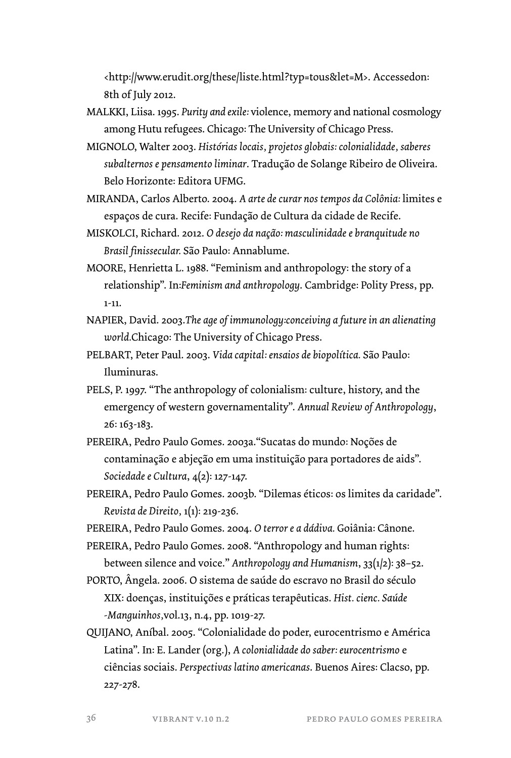<http://www.erudit.org/these/liste.html?typ=tous&let=M>. Accessedon: 8th of July 2012.

- Malkki, Liisa. 1995. *Purity and exile:* violence, memory and national cosmology among Hutu refugees. Chicago: The University of Chicago Press.
- MIGNOLO, Walter 2003. *Histórias locais, projetos globais: colonialidade, saberes subalternos e pensamento liminar*. Tradução de Solange Ribeiro de Oliveira. Belo Horizonte: Editora UFMG.
- MIRANDA, Carlos Alberto. 2004. *A arte de curar nos tempos da Colônia:* limites e espaços de cura. Recife: Fundação de Cultura da cidade de Recife.
- Miskolci, Richard. 2012. *O desejo da nação: masculinidade e branquitude no Brasil finissecular.* São Paulo: Annablume.
- MOORE, Henrietta L. 1988. "Feminism and anthropology: the story of a relationship". In:*Feminism and anthropology*. Cambridge: Polity Press, pp. 1-11.
- Napier, David. 2003.*The age of immunology:conceiving a future in an alienating world.*Chicago: The University of Chicago Press.
- PELBART, Peter Paul. 2003. *Vida capital: ensaios de biopolítica.* São Paulo: Iluminuras.
- PELS, P. 1997. "The anthropology of colonialism: culture, history, and the emergency of western governamentality". *Annual Review of Anthropology*, 26: 163-183.
- PEREIRA, Pedro Paulo Gomes. 2003a."Sucatas do mundo: Noções de contaminação e abjeção em uma instituição para portadores de aids". *Sociedade e Cultura*, 4(2): 127-147.
- PEREIRA, Pedro Paulo Gomes. 2003b. "Dilemas éticos: os limites da caridade". *Revista de Direito,* 1(1): 219-236.
- PEREIRA, Pedro Paulo Gomes. 2004. *O terror e a dádiva.* Goiânia: Cânone.
- PEREIRA, Pedro Paulo Gomes. 2008. "Anthropology and human rights: between silence and voice." *Anthropology and Humanism*, 33(1/2): 38–52.
- PORTO, Ângela. 2006. O sistema de saúde do escravo no Brasil do século XIX: doenças, instituições e práticas terapêuticas. *Hist. cienc. Saúde -Manguinhos,*vol.13, n.4, pp. 1019-27.
- QUIJANO, Aníbal. 2005. "Colonialidade do poder, eurocentrismo e América Latina". In: E. Lander (org.), *A colonialidade do saber: eurocentrismo* e ciências sociais. *Perspectivas latino americanas*. Buenos Aires: Clacso, pp. 227-278.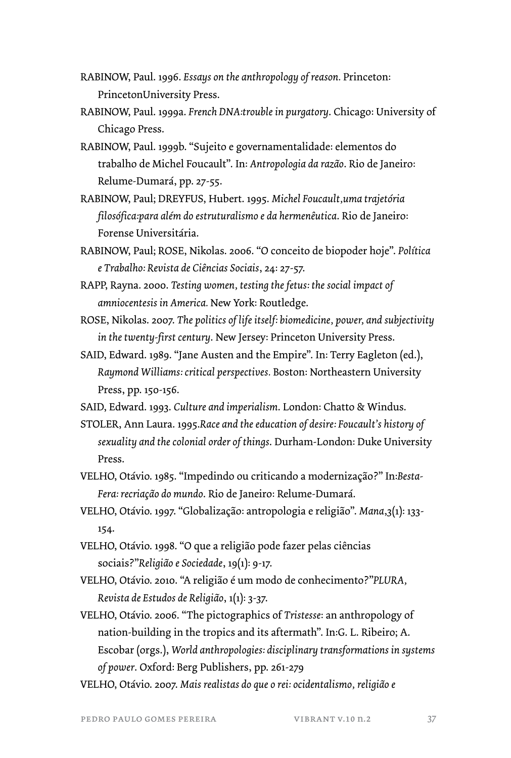- Rabinow, Paul. 1996. *Essays on the anthropology of reason.* Princeton: PrincetonUniversity Press.
- Rabinow, Paul. 1999a. *French DNA:trouble in purgatory*. Chicago: University of Chicago Press.
- Rabinow, Paul. 1999b. "Sujeito e governamentalidade: elementos do trabalho de Michel Foucault". In: *Antropologia da razão*. Rio de Janeiro: Relume-Dumará, pp. 27-55.
- Rabinow, Paul; DREYFUS, Hubert. 1995. *Michel Foucault,uma trajetória filosófica:para além do estruturalismo e da hermenêutica*. Rio de Janeiro: Forense Universitária.
- Rabinow, Paul; ROSE, Nikolas. 2006. "O conceito de biopoder hoje". *Política e Trabalho: Revista de Ciências Sociais*, 24: 27-57.
- Rapp, Rayna. 2000. *Testing women, testing the fetus: the social impact of amniocentesis in America.* New York: Routledge.
- ROSE, Nikolas. 2007. *The politics of life itself: biomedicine, power, and subjectivity in the twenty-first century*. New Jersey: Princeton University Press.
- SAID, Edward. 1989. "Jane Austen and the Empire". In: Terry Eagleton (ed.), *Raymond Williams: critical perspectives.* Boston: Northeastern University Press, pp. 150-156.
- SAID, Edward. 1993. *Culture and imperialism*. London: Chatto & Windus.
- STOLER, Ann Laura. 1995.*Race and the education of desire: Foucault's history of sexuality and the colonial order of things*. Durham-London: Duke University Press.
- VELHO, Otávio. 1985. "Impedindo ou criticando a modernização?" In:*Besta-Fera: recriação do mundo*. Rio de Janeiro: Relume-Dumará.
- VELHO, Otávio. 1997. "Globalização: antropologia e religião". *Mana*,3(1): 133- 154.
- VELHO, Otávio. 1998. "O que a religião pode fazer pelas ciências sociais?"*Religião e Sociedade*, 19(1): 9-17.
- VELHO, Otávio. 2010. "A religião é um modo de conhecimento?"*PLURA, Revista de Estudos de Religião*, 1(1): 3-37.
- VELHO, Otávio. 2006. "The pictographics of *Tristesse*: an anthropology of nation-building in the tropics and its aftermath". In:G. L. Ribeiro; A. Escobar (orgs.), *World anthropologies: disciplinary transformations in systems of power*. Oxford: Berg Publishers, pp. 261-279
- VELHO, Otávio. 2007. *Mais realistas do que o rei: ocidentalismo, religião e*